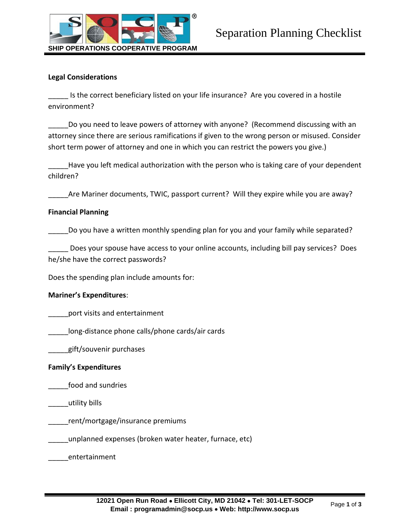

## **Legal Considerations**

\_\_\_\_\_ Is the correct beneficiary listed on your life insurance? Are you covered in a hostile environment?

Do you need to leave powers of attorney with anyone? (Recommend discussing with an attorney since there are serious ramifications if given to the wrong person or misused. Consider short term power of attorney and one in which you can restrict the powers you give.)

Have you left medical authorization with the person who is taking care of your dependent children?

Are Mariner documents, TWIC, passport current? Will they expire while you are away?

### **Financial Planning**

Do you have a written monthly spending plan for you and your family while separated?

Does your spouse have access to your online accounts, including bill pay services? Does he/she have the correct passwords?

Does the spending plan include amounts for:

## **Mariner's Expenditures**:

port visits and entertainment

long-distance phone calls/phone cards/air cards

\_\_\_\_\_gift/souvenir purchases

## **Family's Expenditures**

\_\_\_\_\_food and sundries

\_\_\_\_\_utility bills

\_\_\_\_\_rent/mortgage/insurance premiums

\_\_\_\_\_unplanned expenses (broken water heater, furnace, etc)

\_\_\_\_\_entertainment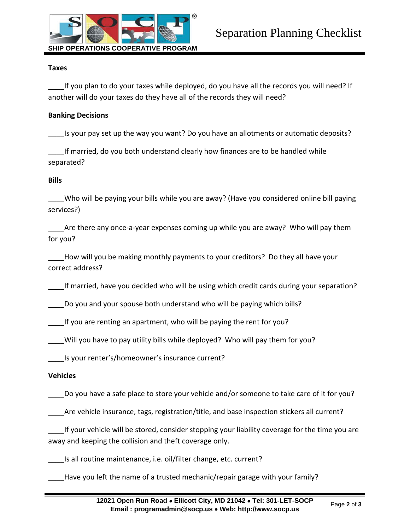

### **Taxes**

If you plan to do your taxes while deployed, do you have all the records you will need? If another will do your taxes do they have all of the records they will need?

### **Banking Decisions**

Is your pay set up the way you want? Do you have an allotments or automatic deposits?

If married, do you both understand clearly how finances are to be handled while separated?

### **Bills**

Who will be paying your bills while you are away? (Have you considered online bill paying services?)

Are there any once-a-year expenses coming up while you are away? Who will pay them for you?

How will you be making monthly payments to your creditors? Do they all have your correct address?

If married, have you decided who will be using which credit cards during your separation?

\_\_\_\_Do you and your spouse both understand who will be paying which bills?

\_\_\_\_If you are renting an apartment, who will be paying the rent for you?

\_\_\_\_Will you have to pay utility bills while deployed? Who will pay them for you?

\_\_\_\_Is your renter's/homeowner's insurance current?

## **Vehicles**

Do you have a safe place to store your vehicle and/or someone to take care of it for you?

\_\_\_\_Are vehicle insurance, tags, registration/title, and base inspection stickers all current?

If your vehicle will be stored, consider stopping your liability coverage for the time you are away and keeping the collision and theft coverage only.

\_\_\_\_Is all routine maintenance, i.e. oil/filter change, etc. current?

Have you left the name of a trusted mechanic/repair garage with your family?